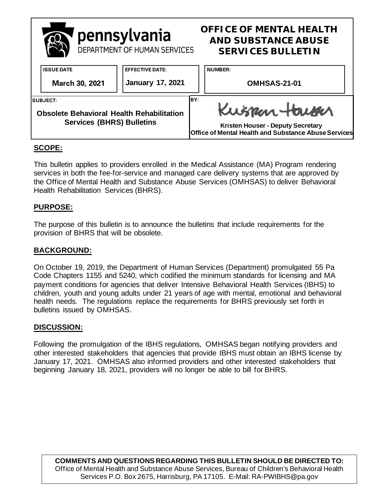

## **SCOPE:**

This bulletin applies to providers enrolled in the Medical Assistance (MA) Program rendering services in both the fee-for-service and managed care delivery systems that are approved by the Office of Mental Health and Substance Abuse Services (OMHSAS) to deliver Behavioral Health Rehabilitation Services (BHRS).

### **PURPOSE:**

The purpose of this bulletin is to announce the bulletins that include requirements for the provision of BHRS that will be obsolete.

### **BACKGROUND:**

On October 19, 2019, the Department of Human Services (Department) promulgated 55 Pa Code Chapters 1155 and 5240, which codified the minimum standards for licensing and MA payment conditions for agencies that deliver Intensive Behavioral Health Services (IBHS) to children, youth and young adults under 21 years of age with mental, emotional and behavioral health needs. The regulations replace the requirements for BHRS previously set forth in bulletins issued by OMHSAS.

#### **DISCUSSION:**

Following the promulgation of the IBHS regulations, OMHSAS began notifying providers and other interested stakeholders that agencies that provide IBHS must obtain an IBHS license by January 17, 2021. OMHSAS also informed providers and other interested stakeholders that beginning January 18, 2021, providers will no longer be able to bill for BHRS.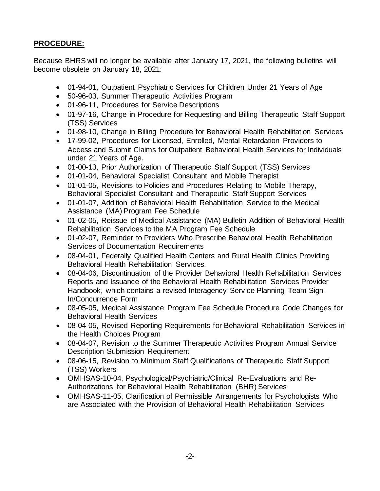# **PROCEDURE:**

Because BHRS will no longer be available after January 17, 2021, the following bulletins will become obsolete on January 18, 2021:

- 01-94-01, Outpatient Psychiatric Services for Children Under 21 Years of Age
- 50-96-03, Summer Therapeutic Activities Program
- 01-96-11, Procedures for Service Descriptions
- 01-97-16, Change in Procedure for Requesting and Billing Therapeutic Staff Support (TSS) Services
- 01-98-10, Change in Billing Procedure for Behavioral Health Rehabilitation Services
- 17-99-02, Procedures for Licensed, Enrolled, Mental Retardation Providers to Access and Submit Claims for Outpatient Behavioral Health Services for Individuals under 21 Years of Age.
- 01-00-13, Prior Authorization of Therapeutic Staff Support (TSS) Services
- 01-01-04, Behavioral Specialist Consultant and Mobile Therapist
- 01-01-05, Revisions to Policies and Procedures Relating to Mobile Therapy, Behavioral Specialist Consultant and Therapeutic Staff Support Services
- 01-01-07, Addition of Behavioral Health Rehabilitation Service to the Medical Assistance (MA) Program Fee Schedule
- 01-02-05, Reissue of Medical Assistance (MA) Bulletin Addition of Behavioral Health Rehabilitation Services to the MA Program Fee Schedule
- 01-02-07, Reminder to Providers Who Prescribe Behavioral Health Rehabilitation Services of Documentation Requirements
- 08-04-01, Federally Qualified Health Centers and Rural Health Clinics Providing Behavioral Health Rehabilitation Services.
- 08-04-06, Discontinuation of the Provider Behavioral Health Rehabilitation Services Reports and Issuance of the Behavioral Health Rehabilitation Services Provider Handbook, which contains a revised Interagency Service Planning Team Sign-In/Concurrence Form
- 08-05-05, Medical Assistance Program Fee Schedule Procedure Code Changes for Behavioral Health Services
- 08-04-05, Revised Reporting Requirements for Behavioral Rehabilitation Services in the Health Choices Program
- 08-04-07, Revision to the Summer Therapeutic Activities Program Annual Service Description Submission Requirement
- 08-06-15, Revision to Minimum Staff Qualifications of Therapeutic Staff Support (TSS) Workers
- OMHSAS-10-04, Psychological/Psychiatric/Clinical Re-Evaluations and Re-Authorizations for Behavioral Health Rehabilitation (BHR) Services
- OMHSAS-11-05, Clarification of Permissible Arrangements for Psychologists Who are Associated with the Provision of Behavioral Health Rehabilitation Services